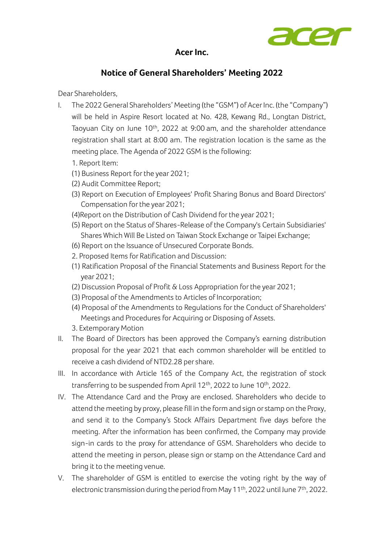

## **Acer Inc.**

## **Notice of General Shareholders' Meeting 2022**

Dear Shareholders,

- I. The 2022 General Shareholders' Meeting (the "GSM") of Acer Inc. (the "Company") will be held in Aspire Resort located at No. 428, Kewang Rd., Longtan District, Taoyuan City on June 10<sup>th</sup>, 2022 at 9:00 am, and the shareholder attendance registration shall start at 8:00 am. The registration location is the same as the meeting place. The Agenda of 2022 GSM is the following:
	- 1. Report Item:
	- (1) Business Report for the year 2021;
	- (2) Audit Committee Report;
	- (3) Report on Execution of Employees' Profit Sharing Bonus and Board Directors' Compensation for the year 2021;
	- (4)Report on the Distribution of Cash Dividend for the year 2021;
	- (5) Report on the Status of Shares-Release of the Company's Certain Subsidiaries' Shares Which Will Be Listed on Taiwan Stock Exchange or Taipei Exchange;
	- (6) Report on the Issuance of Unsecured Corporate Bonds.
	- 2. Proposed Items for Ratification and Discussion:
	- (1) Ratification Proposal of the Financial Statements and Business Report for the year 2021;
	- (2) Discussion Proposal of Profit & Loss Appropriation for the year 2021;
	- (3) Proposal of the Amendments to Articles of Incorporation;
	- (4) Proposal of the Amendments to Regulations for the Conduct of Shareholders' Meetings and Procedures for Acquiring or Disposing of Assets.
	- 3. Extemporary Motion
- II. The Board of Directors has been approved the Company's earning distribution proposal for the year 2021 that each common shareholder will be entitled to receive a cash dividend of NTD2.28 per share.
- III. In accordance with Article 165 of the Company Act, the registration of stock transferring to be suspended from April 12<sup>th</sup>, 2022 to June 10<sup>th</sup>, 2022.
- IV. The Attendance Card and the Proxy are enclosed. Shareholders who decide to attend the meeting by proxy, please fill in the form and sign or stamp on the Proxy, and send it to the Company's Stock Affairs Department five days before the meeting. After the information has been confirmed, the Company may provide sign-in cards to the proxy for attendance of GSM. Shareholders who decide to attend the meeting in person, please sign or stamp on the Attendance Card and bring it to the meeting venue.
- V. The shareholder of GSM is entitled to exercise the voting right by the way of electronic transmission during the period from May 11<sup>th</sup>, 2022 until June 7<sup>th</sup>, 2022.